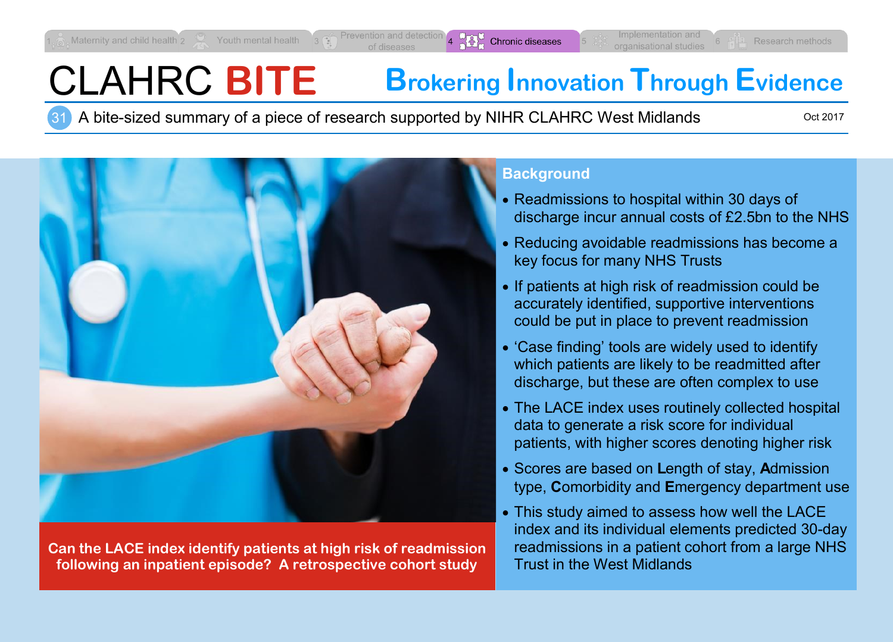# CLAHRC **BITE Brokering Innovation Through Evidence**

31 A bite-sized summary of a piece of research supported by NIHR CLAHRC West Midlands

Oct 2017



**Can the LACE index identify patients at high risk of readmission following an inpatient episode? A retrospective cohort study**

## **Background**

- Readmissions to hospital within 30 days of discharge incur annual costs of £2.5bn to the NHS
- Reducing avoidable readmissions has become a key focus for many NHS Trusts
- If patients at high risk of readmission could be accurately identified, supportive interventions could be put in place to prevent readmission
- 'Case finding' tools are widely used to identify which patients are likely to be readmitted after discharge, but these are often complex to use
- The LACE index uses routinely collected hospital data to generate a risk score for individual patients, with higher scores denoting higher risk
- Scores are based on **L**ength of stay, **A**dmission type, **C**omorbidity and **E**mergency department use
- This study aimed to assess how well the LACE index and its individual elements predicted 30-day readmissions in a patient cohort from a large NHS Trust in the West Midlands